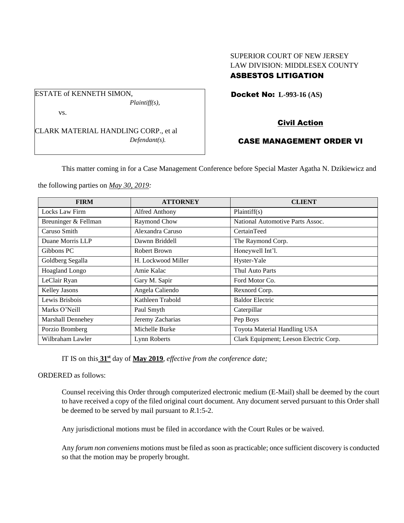# SUPERIOR COURT OF NEW JERSEY LAW DIVISION: MIDDLESEX COUNTY ASBESTOS LITIGATION

Docket No: **L-993-16 (AS)** 

## vs.

ESTATE of KENNETH SIMON,

CLARK MATERIAL HANDLING CORP., et al *Defendant(s).*

*Plaintiff(s),*

# Civil Action

# CASE MANAGEMENT ORDER VI

This matter coming in for a Case Management Conference before Special Master Agatha N. Dzikiewicz and

the following parties on *May 30, 2019:*

| <b>FIRM</b>          | <b>ATTORNEY</b>    | <b>CLIENT</b>                          |
|----------------------|--------------------|----------------------------------------|
| Locks Law Firm       | Alfred Anthony     | Plaintiff(s)                           |
| Breuninger & Fellman | Raymond Chow       | National Automotive Parts Assoc.       |
| Caruso Smith         | Alexandra Caruso   | CertainTeed                            |
| Duane Morris LLP     | Dawnn Briddell     | The Raymond Corp.                      |
| Gibbons PC           | Robert Brown       | Honeywell Int'l.                       |
| Goldberg Segalla     | H. Lockwood Miller | Hyster-Yale                            |
| Hoagland Longo       | Amie Kalac         | Thul Auto Parts                        |
| LeClair Ryan         | Gary M. Sapir      | Ford Motor Co.                         |
| <b>Kelley Jasons</b> | Angela Caliendo    | Rexnord Corp.                          |
| Lewis Brisbois       | Kathleen Trabold   | <b>Baldor Electric</b>                 |
| Marks O'Neill        | Paul Smyth         | Caterpillar                            |
| Marshall Dennehey    | Jeremy Zacharias   | Pep Boys                               |
| Porzio Bromberg      | Michelle Burke     | Toyota Material Handling USA           |
| Wilbraham Lawler     | Lynn Roberts       | Clark Equipment; Leeson Electric Corp. |

IT IS on this **31st** day of **May 2019**, *effective from the conference date;*

ORDERED as follows:

Counsel receiving this Order through computerized electronic medium (E-Mail) shall be deemed by the court to have received a copy of the filed original court document. Any document served pursuant to this Order shall be deemed to be served by mail pursuant to *R*.1:5-2.

Any jurisdictional motions must be filed in accordance with the Court Rules or be waived.

Any *forum non conveniens* motions must be filed as soon as practicable; once sufficient discovery is conducted so that the motion may be properly brought.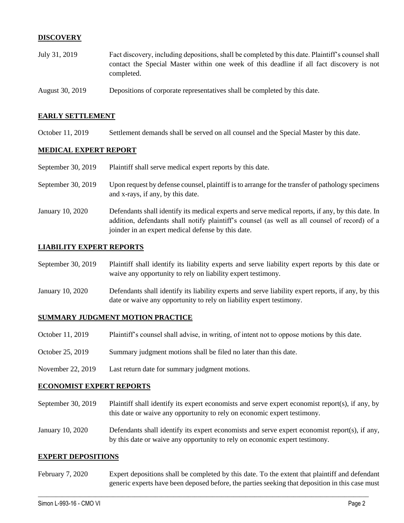## **DISCOVERY**

| July 31, 2019   | Fact discovery, including depositions, shall be completed by this date. Plaintiff's counsel shall<br>contact the Special Master within one week of this deadline if all fact discovery is not |
|-----------------|-----------------------------------------------------------------------------------------------------------------------------------------------------------------------------------------------|
|                 | completed.                                                                                                                                                                                    |
| August 30, 2019 | Depositions of corporate representatives shall be completed by this date.                                                                                                                     |

## **EARLY SETTLEMENT**

October 11, 2019 Settlement demands shall be served on all counsel and the Special Master by this date.

### **MEDICAL EXPERT REPORT**

| September 30, 2019 | Plaintiff shall serve medical expert reports by this date. |
|--------------------|------------------------------------------------------------|
|--------------------|------------------------------------------------------------|

- September 30, 2019 Upon request by defense counsel, plaintiff is to arrange for the transfer of pathology specimens and x-rays, if any, by this date.
- January 10, 2020 Defendants shall identify its medical experts and serve medical reports, if any, by this date. In addition, defendants shall notify plaintiff's counsel (as well as all counsel of record) of a joinder in an expert medical defense by this date.

## **LIABILITY EXPERT REPORTS**

| September 30, 2019 | Plaintiff shall identify its liability experts and serve liability expert reports by this date or |
|--------------------|---------------------------------------------------------------------------------------------------|
|                    | waive any opportunity to rely on liability expert testimony.                                      |

January 10, 2020 Defendants shall identify its liability experts and serve liability expert reports, if any, by this date or waive any opportunity to rely on liability expert testimony.

#### **SUMMARY JUDGMENT MOTION PRACTICE**

- October 11, 2019 Plaintiff's counsel shall advise, in writing, of intent not to oppose motions by this date.
- October 25, 2019 Summary judgment motions shall be filed no later than this date.
- November 22, 2019 Last return date for summary judgment motions.

#### **ECONOMIST EXPERT REPORTS**

- September 30, 2019 Plaintiff shall identify its expert economists and serve expert economist report(s), if any, by this date or waive any opportunity to rely on economic expert testimony.
- January 10, 2020 Defendants shall identify its expert economists and serve expert economist report(s), if any, by this date or waive any opportunity to rely on economic expert testimony.

#### **EXPERT DEPOSITIONS**

February 7, 2020 Expert depositions shall be completed by this date. To the extent that plaintiff and defendant generic experts have been deposed before, the parties seeking that deposition in this case must

 $\_$  , and the set of the set of the set of the set of the set of the set of the set of the set of the set of the set of the set of the set of the set of the set of the set of the set of the set of the set of the set of th